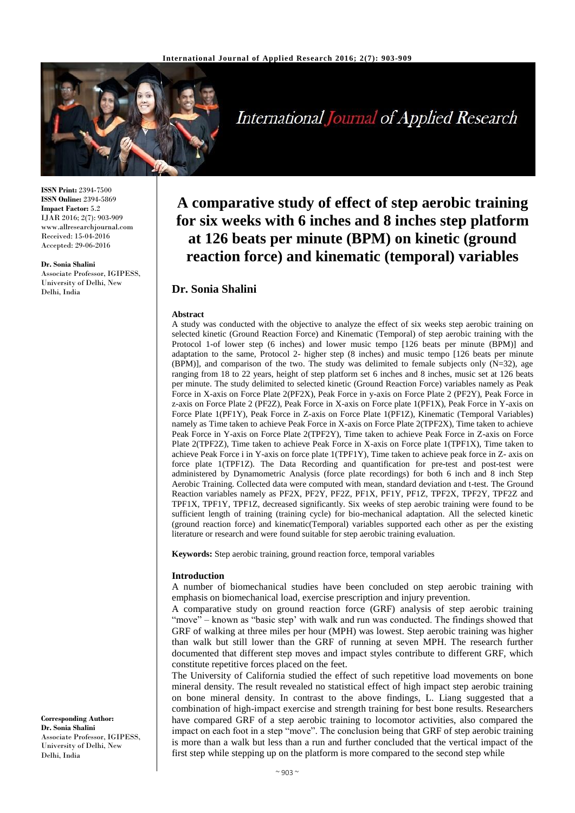

International Journal of Applied Research

**ISSN Print:** 2394-7500 **ISSN Online:** 2394-5869 **Impact Factor:** 5.2 IJAR 2016; 2(7): 903-909 www.allresearchjournal.com Received: 15-04-2016 Accepted: 29-06-2016

#### **Dr. Sonia Shalini**

Associate Professor, IGIPESS, University of Delhi, New Delhi, India

# **A comparative study of effect of step aerobic training for six weeks with 6 inches and 8 inches step platform at 126 beats per minute (BPM) on kinetic (ground reaction force) and kinematic (temporal) variables**

# **Dr. Sonia Shalini**

#### **Abstract**

A study was conducted with the objective to analyze the effect of six weeks step aerobic training on selected kinetic (Ground Reaction Force) and Kinematic (Temporal) of step aerobic training with the Protocol 1-of lower step (6 inches) and lower music tempo [126 beats per minute (BPM)] and adaptation to the same, Protocol 2- higher step (8 inches) and music tempo [126 beats per minute  $(BPM)$ ], and comparison of the two. The study was delimited to female subjects only  $(N=32)$ , age ranging from 18 to 22 years, height of step platform set 6 inches and 8 inches, music set at 126 beats per minute. The study delimited to selected kinetic (Ground Reaction Force) variables namely as Peak Force in X-axis on Force Plate 2(PF2X), Peak Force in y-axis on Force Plate 2 (PF2Y), Peak Force in z-axis on Force Plate 2 (PF2Z), Peak Force in X-axis on Force plate 1(PF1X), Peak Force in Y-axis on Force Plate 1(PF1Y), Peak Force in Z-axis on Force Plate 1(PF1Z), Kinematic (Temporal Variables) namely as Time taken to achieve Peak Force in X-axis on Force Plate 2(TPF2X), Time taken to achieve Peak Force in Y-axis on Force Plate 2(TPF2Y), Time taken to achieve Peak Force in Z-axis on Force Plate 2(TPF2Z), Time taken to achieve Peak Force in X-axis on Force plate 1(TPF1X), Time taken to achieve Peak Force i in Y-axis on force plate 1(TPF1Y), Time taken to achieve peak force in Z- axis on force plate 1(TPF1Z). The Data Recording and quantification for pre-test and post-test were administered by Dynamometric Analysis (force plate recordings) for both 6 inch and 8 inch Step Aerobic Training. Collected data were computed with mean, standard deviation and t-test. The Ground Reaction variables namely as PF2X, PF2Y, PF2Z, PF1X, PF1Y, PF1Z, TPF2X, TPF2Y, TPF2Z and TPF1X, TPF1Y, TPF1Z, decreased significantly. Six weeks of step aerobic training were found to be sufficient length of training (training cycle) for bio-mechanical adaptation. All the selected kinetic (ground reaction force) and kinematic(Temporal) variables supported each other as per the existing literature or research and were found suitable for step aerobic training evaluation.

**Keywords:** Step aerobic training, ground reaction force, temporal variables

## **Introduction**

A number of biomechanical studies have been concluded on step aerobic training with emphasis on biomechanical load, exercise prescription and injury prevention.

A comparative study on ground reaction force (GRF) analysis of step aerobic training "move" – known as "basic step' with walk and run was conducted. The findings showed that GRF of walking at three miles per hour (MPH) was lowest. Step aerobic training was higher than walk but still lower than the GRF of running at seven MPH. The research further documented that different step moves and impact styles contribute to different GRF, which constitute repetitive forces placed on the feet.

The University of California studied the effect of such repetitive load movements on bone mineral density. The result revealed no statistical effect of high impact step aerobic training on bone mineral density. In contrast to the above findings, L. Liang suggested that a combination of high-impact exercise and strength training for best bone results. Researchers have compared GRF of a step aerobic training to locomotor activities, also compared the impact on each foot in a step "move". The conclusion being that GRF of step aerobic training is more than a walk but less than a run and further concluded that the vertical impact of the first step while stepping up on the platform is more compared to the second step while

**Corresponding Author: Dr. Sonia Shalini** Associate Professor, IGIPESS, University of Delhi, New Delhi, India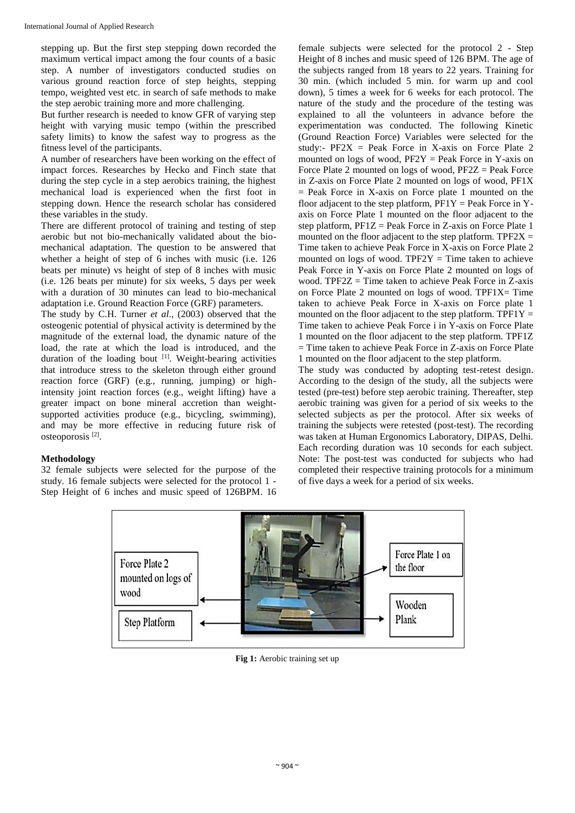stepping up. But the first step stepping down recorded the maximum vertical impact among the four counts of a basic step. A number of investigators conducted studies on various ground reaction force of step heights, stepping tempo, weighted vest etc. in search of safe methods to make the step aerobic training more and more challenging.

But further research is needed to know GFR of varying step height with varying music tempo (within the prescribed safety limits) to know the safest way to progress as the fitness level of the participants.

A number of researchers have been working on the effect of impact forces. Researches by Hecko and Finch state that during the step cycle in a step aerobics training, the highest mechanical load is experienced when the first foot in stepping down. Hence the research scholar has considered these variables in the study.

There are different protocol of training and testing of step aerobic but not bio-mechanically validated about the biomechanical adaptation. The question to be answered that whether a height of step of 6 inches with music (i.e. 126 beats per minute) vs height of step of 8 inches with music (i.e. 126 beats per minute) for six weeks, 5 days per week with a duration of 30 minutes can lead to bio-mechanical adaptation i.e. Ground Reaction Force (GRF) parameters.

The study by C.H. Turner *et al*., (2003) observed that the osteogenic potential of physical activity is determined by the magnitude of the external load, the dynamic nature of the load, the rate at which the load is introduced, and the duration of the loading bout [1]. Weight-bearing activities that introduce stress to the skeleton through either ground reaction force (GRF) (e.g., running, jumping) or highintensity joint reaction forces (e.g., weight lifting) have a greater impact on bone mineral accretion than weightsupported activities produce (e.g., bicycling, swimming), and may be more effective in reducing future risk of osteoporosis [2] .

# **Methodology**

32 female subjects were selected for the purpose of the study. 16 female subjects were selected for the protocol 1 - Step Height of 6 inches and music speed of 126BPM. 16

female subjects were selected for the protocol 2 - Step Height of 8 inches and music speed of 126 BPM. The age of the subjects ranged from 18 years to 22 years. Training for 30 min. (which included 5 min. for warm up and cool down), 5 times a week for 6 weeks for each protocol. The nature of the study and the procedure of the testing was explained to all the volunteers in advance before the experimentation was conducted. The following Kinetic (Ground Reaction Force) Variables were selected for the study:-  $PF2X$  = Peak Force in X-axis on Force Plate 2 mounted on logs of wood,  $PF2Y = Peak$  Force in Y-axis on Force Plate 2 mounted on logs of wood, PF2Z = Peak Force in Z-axis on Force Plate 2 mounted on logs of wood, PF1X  $=$  Peak Force in X-axis on Force plate 1 mounted on the floor adjacent to the step platform,  $PF1Y = Peak$  Force in Yaxis on Force Plate 1 mounted on the floor adjacent to the step platform,  $PF1Z = Peak$  Force in Z-axis on Force Plate 1 mounted on the floor adjacent to the step platform.  $TPF2X =$ Time taken to achieve Peak Force in X-axis on Force Plate 2 mounted on logs of wood. TPF2Y = Time taken to achieve Peak Force in Y-axis on Force Plate 2 mounted on logs of wood. TPF2 $Z =$  Time taken to achieve Peak Force in  $Z$ -axis on Force Plate 2 mounted on logs of wood. TPF1 $X = Time$ taken to achieve Peak Force in X-axis on Force plate 1 mounted on the floor adjacent to the step platform. TPF1 $Y =$ Time taken to achieve Peak Force i in Y-axis on Force Plate 1 mounted on the floor adjacent to the step platform. TPF1Z = Time taken to achieve Peak Force in Z-axis on Force Plate 1 mounted on the floor adjacent to the step platform.

The study was conducted by adopting test-retest design. According to the design of the study, all the subjects were tested (pre-test) before step aerobic training. Thereafter, step aerobic training was given for a period of six weeks to the selected subjects as per the protocol. After six weeks of training the subjects were retested (post-test). The recording was taken at Human Ergonomics Laboratory, DIPAS, Delhi. Each recording duration was 10 seconds for each subject. Note: The post-test was conducted for subjects who had completed their respective training protocols for a minimum of five days a week for a period of six weeks.



**Fig 1:** Aerobic training set up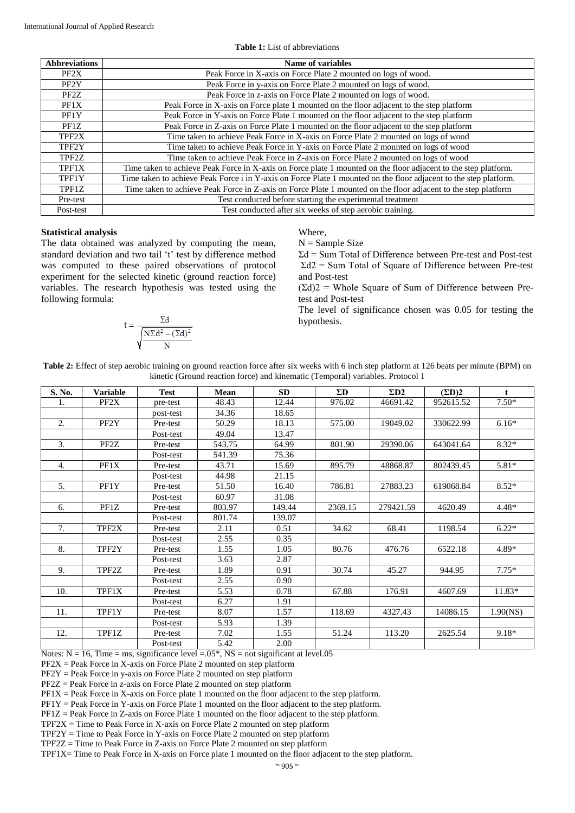| <b>Abbreviations</b> | Name of variables                                                                                                 |
|----------------------|-------------------------------------------------------------------------------------------------------------------|
| PF2X                 | Peak Force in X-axis on Force Plate 2 mounted on logs of wood.                                                    |
| PF2Y                 | Peak Force in y-axis on Force Plate 2 mounted on logs of wood.                                                    |
| PF <sub>2</sub> Z    | Peak Force in z-axis on Force Plate 2 mounted on logs of wood.                                                    |
| PF1X                 | Peak Force in X-axis on Force plate 1 mounted on the floor adjacent to the step platform                          |
| PF1Y                 | Peak Force in Y-axis on Force Plate 1 mounted on the floor adjacent to the step platform                          |
| PF1Z                 | Peak Force in Z-axis on Force Plate 1 mounted on the floor adjacent to the step platform                          |
| TPF2X                | Time taken to achieve Peak Force in X-axis on Force Plate 2 mounted on logs of wood                               |
| TPF2Y                | Time taken to achieve Peak Force in Y-axis on Force Plate 2 mounted on logs of wood                               |
| TPF2Z                | Time taken to achieve Peak Force in Z-axis on Force Plate 2 mounted on logs of wood                               |
| TPF1X                | Time taken to achieve Peak Force in X-axis on Force plate 1 mounted on the floor adjacent to the step platform.   |
| TPF1Y                | Time taken to achieve Peak Force i in Y-axis on Force Plate 1 mounted on the floor adjacent to the step platform. |
| TPF1Z                | Time taken to achieve Peak Force in Z-axis on Force Plate 1 mounted on the floor adjacent to the step platform    |
| Pre-test             | Test conducted before starting the experimental treatment                                                         |
| Post-test            | Test conducted after six weeks of step aerobic training.                                                          |

## **Table 1:** List of abbreviations

### **Statistical analysis**

The data obtained was analyzed by computing the mean, standard deviation and two tail 't' test by difference method was computed to these paired observations of protocol experiment for the selected kinetic (ground reaction force) variables. The research hypothesis was tested using the following formula:

$$
t = \frac{\Sigma d}{\sqrt{\frac{N\Sigma d^2 - (\Sigma d)^2}{N}}}
$$

Where,

 $N =$  Sample Size

Σd = Sum Total of Difference between Pre-test and Post-test Σd2 = Sum Total of Square of Difference between Pre-test and Post-test

 $(\Sigma d)$ 2 = Whole Square of Sum of Difference between Pretest and Post-test

The level of significance chosen was 0.05 for testing the hypothesis.

| Table 2: Effect of step aerobic training on ground reaction force after six weeks with 6 inch step platform at 126 beats per minute (BPM) on |  |
|----------------------------------------------------------------------------------------------------------------------------------------------|--|
| kinetic (Ground reaction force) and kinematic (Temporal) variables. Protocol 1                                                               |  |

| S. No. | <b>Variable</b>   | <b>Test</b> | Mean   | <b>SD</b> | $\Sigma$ D | $\Sigma$ D <sub>2</sub> | $(\Sigma D)2$ | $\mathbf{t}$ |
|--------|-------------------|-------------|--------|-----------|------------|-------------------------|---------------|--------------|
| 1.     | PF <sub>2</sub> X | pre-test    | 48.43  | 12.44     | 976.02     | 46691.42                | 952615.52     | $7.50*$      |
|        |                   | post-test   | 34.36  | 18.65     |            |                         |               |              |
| 2.     | PF2Y              | Pre-test    | 50.29  | 18.13     | 575.00     | 19049.02                | 330622.99     | $6.16*$      |
|        |                   | Post-test   | 49.04  | 13.47     |            |                         |               |              |
| 3.     | PF <sub>2</sub> Z | Pre-test    | 543.75 | 64.99     | 801.90     | 29390.06                | 643041.64     | $8.32*$      |
|        |                   | Post-test   | 541.39 | 75.36     |            |                         |               |              |
| 4.     | PF1X              | Pre-test    | 43.71  | 15.69     | 895.79     | 48868.87                | 802439.45     | $5.81*$      |
|        |                   | Post-test   | 44.98  | 21.15     |            |                         |               |              |
| 5.     | PF1Y              | Pre-test    | 51.50  | 16.40     | 786.81     | 27883.23                | 619068.84     | $8.52*$      |
|        |                   | Post-test   | 60.97  | 31.08     |            |                         |               |              |
| 6.     | PF1Z              | Pre-test    | 803.97 | 149.44    | 2369.15    | 279421.59               | 4620.49       | $4.48*$      |
|        |                   | Post-test   | 801.74 | 139.07    |            |                         |               |              |
| 7.     | TPF2X             | Pre-test    | 2.11   | 0.51      | 34.62      | 68.41                   | 1198.54       | $6.22*$      |
|        |                   | Post-test   | 2.55   | 0.35      |            |                         |               |              |
| 8.     | TPF2Y             | Pre-test    | 1.55   | 1.05      | 80.76      | 476.76                  | 6522.18       | 4.89*        |
|        |                   | Post-test   | 3.63   | 2.87      |            |                         |               |              |
| 9.     | TPF2Z             | Pre-test    | 1.89   | 0.91      | 30.74      | 45.27                   | 944.95        | $7.75*$      |
|        |                   | Post-test   | 2.55   | 0.90      |            |                         |               |              |
| 10.    | TPF1X             | Pre-test    | 5.53   | 0.78      | 67.88      | 176.91                  | 4607.69       | $11.83*$     |
|        |                   | Post-test   | 6.27   | 1.91      |            |                         |               |              |
| 11.    | TPF1Y             | Pre-test    | 8.07   | 1.57      | 118.69     | 4327.43                 | 14086.15      | 1.90(NS)     |
|        |                   | Post-test   | 5.93   | 1.39      |            |                         |               |              |
| 12.    | TPF1Z             | Pre-test    | 7.02   | 1.55      | 51.24      | 113.20                  | 2625.54       | $9.18*$      |
|        |                   | Post-test   | 5.42   | 2.00      |            |                         |               |              |

Notes:  $N = 16$ , Time = ms, significance level = 0.05<sup>\*</sup>, NS = not significant at level.05

 $PF2X = Peak$  Force in X-axis on Force Plate 2 mounted on step platform

 $PF2Y = Peak Force in y-axis on Force Plate 2 mounted on step platform$ 

PF2Z = Peak Force in z-axis on Force Plate 2 mounted on step platform

PF1X = Peak Force in X-axis on Force plate 1 mounted on the floor adjacent to the step platform.

PF1Y = Peak Force in Y-axis on Force Plate 1 mounted on the floor adjacent to the step platform.

PF1Z = Peak Force in Z-axis on Force Plate 1 mounted on the floor adjacent to the step platform.

 $TPF2X = Time$  to Peak Force in X-axis on Force Plate 2 mounted on step platform

 $TPF2Y = Time$  to Peak Force in Y-axis on Force Plate 2 mounted on step platform

TPF2Z = Time to Peak Force in Z-axis on Force Plate 2 mounted on step platform

TPF1X= Time to Peak Force in X-axis on Force plate 1 mounted on the floor adjacent to the step platform.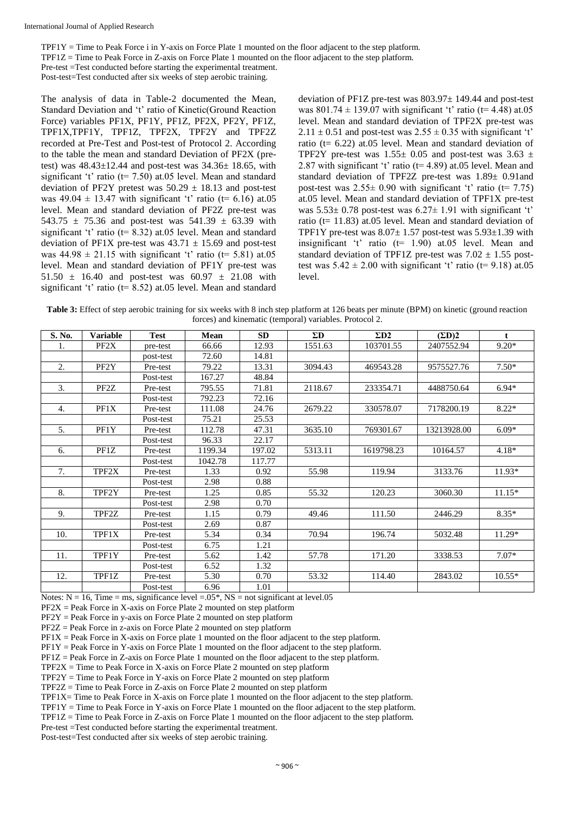$TPF1Y = Time$  to Peak Force i in Y-axis on Force Plate 1 mounted on the floor adjacent to the step platform. TPF1Z = Time to Peak Force in Z-axis on Force Plate 1 mounted on the floor adjacent to the step platform. Pre-test =Test conducted before starting the experimental treatment. Post-test=Test conducted after six weeks of step aerobic training.

The analysis of data in Table-2 documented the Mean, Standard Deviation and 't' ratio of Kinetic(Ground Reaction Force) variables PF1X, PF1Y, PF1Z, PF2X, PF2Y, PF1Z, TPF1X,TPF1Y, TPF1Z, TPF2X, TPF2Y and TPF2Z recorded at Pre-Test and Post-test of Protocol 2. According to the table the mean and standard Deviation of PF2X (pretest) was  $48.43 \pm 12.44$  and post-test was  $34.36 \pm 18.65$ , with significant 't' ratio ( $t= 7.50$ ) at 05 level. Mean and standard deviation of PF2Y pretest was  $50.29 \pm 18.13$  and post-test was  $49.04 \pm 13.47$  with significant 't' ratio (t= 6.16) at.05 level. Mean and standard deviation of PF2Z pre-test was 543.75  $\pm$  75.36 and post-test was 541.39  $\pm$  63.39 with significant 't' ratio (t= 8.32) at.05 level. Mean and standard deviation of PF1X pre-test was  $43.71 \pm 15.69$  and post-test was  $44.98 \pm 21.15$  with significant 't' ratio (t= 5.81) at.05 level. Mean and standard deviation of PF1Y pre-test was 51.50  $\pm$  16.40 and post-test was 60.97  $\pm$  21.08 with significant 't' ratio (t= 8.52) at.05 level. Mean and standard

deviation of PF1Z pre-test was 803.97± 149.44 and post-test was  $801.74 \pm 139.07$  with significant 't' ratio (t= 4.48) at.05 level. Mean and standard deviation of TPF2X pre-test was  $2.11 \pm 0.51$  and post-test was  $2.55 \pm 0.35$  with significant 't' ratio ( $t= 6.22$ ) at 05 level. Mean and standard deviation of TPF2Y pre-test was  $1.55 \pm 0.05$  and post-test was  $3.63 \pm 1.55 \pm 0.05$ 2.87 with significant 't' ratio ( $t= 4.89$ ) at.05 level. Mean and standard deviation of TPF2Z pre-test was 1.89± 0.91and post-test was  $2.55 \pm 0.90$  with significant 't' ratio (t= 7.75) at.05 level. Mean and standard deviation of TPF1X pre-test was  $5.53 \pm 0.78$  post-test was  $6.27 \pm 1.91$  with significant 't' ratio ( $t= 11.83$ ) at.05 level. Mean and standard deviation of TPF1Y pre-test was  $8.07 \pm 1.57$  post-test was  $5.93 \pm 1.39$  with insignificant 't' ratio (t= 1.90) at.05 level. Mean and standard deviation of TPF1Z pre-test was  $7.02 \pm 1.55$  posttest was  $5.42 \pm 2.00$  with significant 't' ratio (t= 9.18) at.05 level.

**Table 3:** Effect of step aerobic training for six weeks with 8 inch step platform at 126 beats per minute (BPM) on kinetic (ground reaction forces) and kinematic (temporal) variables. Protocol 2.

| S. No. | <b>Variable</b> | <b>Test</b> | Mean    | <b>SD</b> | $\Sigma$ D | $\Sigma_{D2}$ | $(\Sigma D)2$ | $\mathbf{f}$ |
|--------|-----------------|-------------|---------|-----------|------------|---------------|---------------|--------------|
| 1.     | PF2X            | pre-test    | 66.66   | 12.93     | 1551.63    | 103701.55     | 2407552.94    | $9.20*$      |
|        |                 | post-test   | 72.60   | 14.81     |            |               |               |              |
| 2.     | PF2Y            | Pre-test    | 79.22   | 13.31     | 3094.43    | 469543.28     | 9575527.76    | $7.50*$      |
|        |                 | Post-test   | 167.27  | 48.84     |            |               |               |              |
| 3.     | PF2Z            | Pre-test    | 795.55  | 71.81     | 2118.67    | 233354.71     | 4488750.64    | $6.94*$      |
|        |                 | Post-test   | 792.23  | 72.16     |            |               |               |              |
| 4.     | PF1X            | Pre-test    | 111.08  | 24.76     | 2679.22    | 330578.07     | 7178200.19    | $8.22*$      |
|        |                 | Post-test   | 75.21   | 25.53     |            |               |               |              |
| 5.     | PF1Y            | Pre-test    | 112.78  | 47.31     | 3635.10    | 769301.67     | 13213928.00   | $6.09*$      |
|        |                 | Post-test   | 96.33   | 22.17     |            |               |               |              |
| 6.     | PF1Z            | Pre-test    | 1199.34 | 197.02    | 5313.11    | 1619798.23    | 10164.57      | $4.18*$      |
|        |                 | Post-test   | 1042.78 | 117.77    |            |               |               |              |
| 7.     | TPF2X           | Pre-test    | 1.33    | 0.92      | 55.98      | 119.94        | 3133.76       | $11.93*$     |
|        |                 | Post-test   | 2.98    | 0.88      |            |               |               |              |
| 8.     | TPF2Y           | Pre-test    | 1.25    | 0.85      | 55.32      | 120.23        | 3060.30       | $11.15*$     |
|        |                 | Post-test   | 2.98    | 0.70      |            |               |               |              |
| 9.     | TPF2Z           | Pre-test    | 1.15    | 0.79      | 49.46      | 111.50        | 2446.29       | $8.35*$      |
|        |                 | Post-test   | 2.69    | 0.87      |            |               |               |              |
| 10.    | TPF1X           | Pre-test    | 5.34    | 0.34      | 70.94      | 196.74        | 5032.48       | $11.29*$     |
|        |                 | Post-test   | 6.75    | 1.21      |            |               |               |              |
| 11.    | TPF1Y           | Pre-test    | 5.62    | 1.42      | 57.78      | 171.20        | 3338.53       | $7.07*$      |
|        |                 | Post-test   | 6.52    | 1.32      |            |               |               |              |
| 12.    | TPF1Z           | Pre-test    | 5.30    | 0.70      | 53.32      | 114.40        | 2843.02       | $10.55*$     |
|        |                 | Post-test   | 6.96    | 1.01      |            |               |               |              |

Notes:  $N = 16$ , Time = ms, significance level = 0.05<sup>\*</sup>, NS = not significant at level.05

 $PF2X = Peak Force in X-axis on Force Plate 2 mounted on step platform$ 

PF2Y = Peak Force in y-axis on Force Plate 2 mounted on step platform

PF2Z = Peak Force in z-axis on Force Plate 2 mounted on step platform

 $PF1X = Peak Force in X-axis on Force plate 1 mounted on the floor adiacent to the step platform.$ 

PF1Y = Peak Force in Y-axis on Force Plate 1 mounted on the floor adjacent to the step platform.

PF1Z = Peak Force in Z-axis on Force Plate 1 mounted on the floor adjacent to the step platform.

 $TPF2X = Time$  to Peak Force in X-axis on Force Plate 2 mounted on step platform

 $TPF2Y = Time$  to Peak Force in Y-axis on Force Plate 2 mounted on step platform

TPF2Z = Time to Peak Force in Z-axis on Force Plate 2 mounted on step platform

TPF1X= Time to Peak Force in X-axis on Force plate 1 mounted on the floor adjacent to the step platform.

 $TPF1Y = Time$  to Peak Force in Y-axis on Force Plate 1 mounted on the floor adjacent to the step platform.

TPF1Z = Time to Peak Force in Z-axis on Force Plate 1 mounted on the floor adjacent to the step platform. Pre-test =Test conducted before starting the experimental treatment.

Post-test=Test conducted after six weeks of step aerobic training.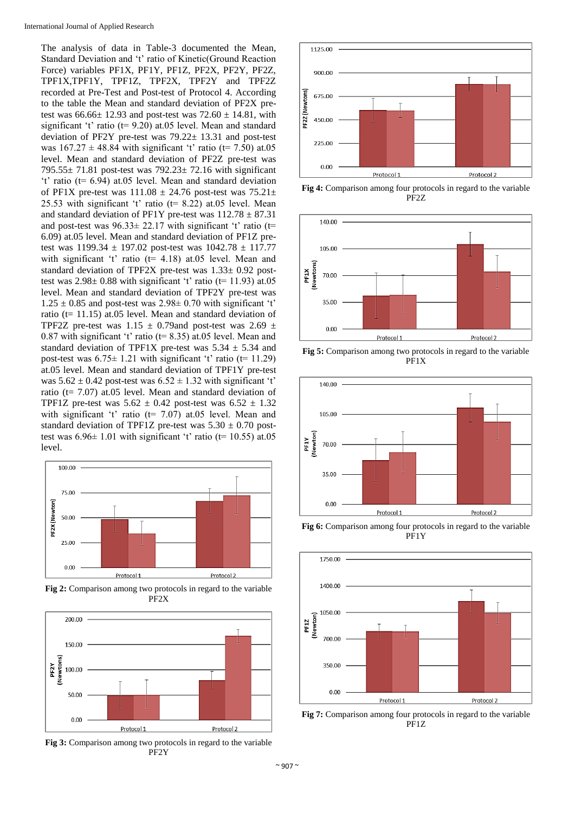The analysis of data in Table-3 documented the Mean, Standard Deviation and 't' ratio of Kinetic(Ground Reaction Force) variables PF1X, PF1Y, PF1Z, PF2X, PF2Y, PF2Z, TPF1X,TPF1Y, TPF1Z, TPF2X, TPF2Y and TPF2Z recorded at Pre-Test and Post-test of Protocol 4. According to the table the Mean and standard deviation of PF2X pretest was  $66.66 \pm 12.93$  and post-test was  $72.60 \pm 14.81$ , with significant 't' ratio (t= 9.20) at.05 level. Mean and standard deviation of PF2Y pre-test was 79.22± 13.31 and post-test was  $167.27 \pm 48.84$  with significant 't' ratio (t= 7.50) at.05 level. Mean and standard deviation of PF2Z pre-test was 795.55± 71.81 post-test was 792.23± 72.16 with significant 't' ratio (t= 6.94) at.05 level. Mean and standard deviation of PF1X pre-test was  $111.08 \pm 24.76$  post-test was  $75.21 \pm$ 25.53 with significant 't' ratio ( $t= 8.22$ ) at.05 level. Mean and standard deviation of PF1Y pre-test was  $112.78 \pm 87.31$ and post-test was  $96.33 \pm 22.17$  with significant 't' ratio (t= 6.09) at.05 level. Mean and standard deviation of PF1Z pretest was  $1199.34 \pm 197.02$  post-test was  $1042.78 \pm 117.77$ with significant 't' ratio (t= 4.18) at.05 level. Mean and standard deviation of TPF2X pre-test was 1.33± 0.92 posttest was  $2.98 \pm 0.88$  with significant 't' ratio (t= 11.93) at.05 level. Mean and standard deviation of TPF2Y pre-test was  $1.25 \pm 0.85$  and post-test was  $2.98 \pm 0.70$  with significant 't' ratio (t= 11.15) at.05 level. Mean and standard deviation of TPF2Z pre-test was  $1.15 \pm 0.79$  and post-test was  $2.69 \pm 0.79$ 0.87 with significant 't' ratio ( $t= 8.35$ ) at.05 level. Mean and standard deviation of TPF1X pre-test was  $5.34 \pm 5.34$  and post-test was  $6.75 \pm 1.21$  with significant 't' ratio (t= 11.29) at.05 level. Mean and standard deviation of TPF1Y pre-test was  $5.62 \pm 0.42$  post-test was  $6.52 \pm 1.32$  with significant 't' ratio (t= 7.07) at.05 level. Mean and standard deviation of TPF1Z pre-test was  $5.62 \pm 0.42$  post-test was  $6.52 \pm 1.32$ with significant 't' ratio ( $t= 7.07$ ) at 0.05 level. Mean and standard deviation of TPF1Z pre-test was  $5.30 \pm 0.70$  posttest was  $6.96\pm 1.01$  with significant 't' ratio (t= 10.55) at.05 level.



**Fig 2:** Comparison among two protocols in regard to the variable PF2X



**Fig 3:** Comparison among two protocols in regard to the variable PF2Y



**Fig 4:** Comparison among four protocols in regard to the variable PF2Z



**Fig 5:** Comparison among two protocols in regard to the variable PF1X



**Fig 6:** Comparison among four protocols in regard to the variable PF1Y



**Fig 7:** Comparison among four protocols in regard to the variable PF1Z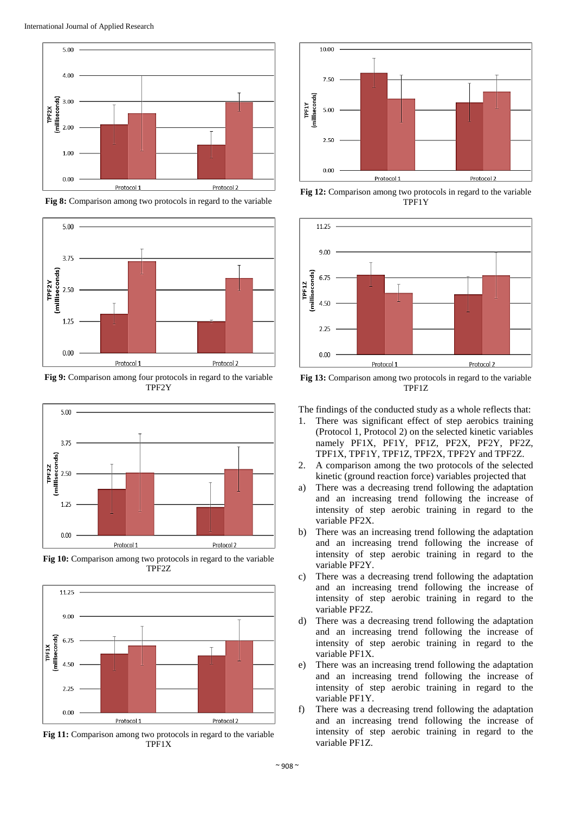

**Fig 8:** Comparison among two protocols in regard to the variable



**Fig 9:** Comparison among four protocols in regard to the variable TPF2Y



**Fig 10:** Comparison among two protocols in regard to the variable TPF2Z



**Fig 11:** Comparison among two protocols in regard to the variable TPF1X



**Fig 12:** Comparison among two protocols in regard to the variable TPF1Y



**Fig 13:** Comparison among two protocols in regard to the variable TPF1Z

The findings of the conducted study as a whole reflects that:

- 1. There was significant effect of step aerobics training (Protocol 1, Protocol 2) on the selected kinetic variables namely PF1X, PF1Y, PF1Z, PF2X, PF2Y, PF2Z, TPF1X, TPF1Y, TPF1Z, TPF2X, TPF2Y and TPF2Z.
- 2. A comparison among the two protocols of the selected kinetic (ground reaction force) variables projected that
- a) There was a decreasing trend following the adaptation and an increasing trend following the increase of intensity of step aerobic training in regard to the variable PF2X.
- b) There was an increasing trend following the adaptation and an increasing trend following the increase of intensity of step aerobic training in regard to the variable PF2Y.
- c) There was a decreasing trend following the adaptation and an increasing trend following the increase of intensity of step aerobic training in regard to the variable PF2Z.
- d) There was a decreasing trend following the adaptation and an increasing trend following the increase of intensity of step aerobic training in regard to the variable PF1X.
- e) There was an increasing trend following the adaptation and an increasing trend following the increase of intensity of step aerobic training in regard to the variable PF1Y.
- f) There was a decreasing trend following the adaptation and an increasing trend following the increase of intensity of step aerobic training in regard to the variable PF1Z.